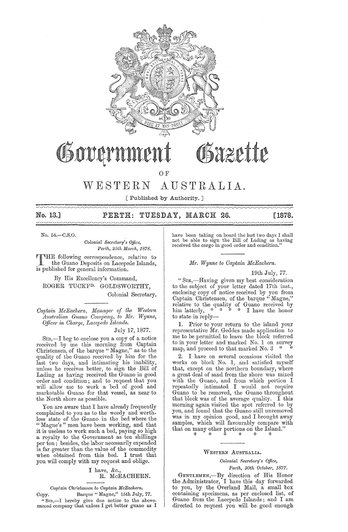

# Sazette Osovern

OF

# WESTERN AUSTRALIA.

[Published by Authority. ]

# No. 13.] PERTH: TUESDAY, MARCH 26. [1878.

No. 54.-C.S.O.

 $Colonial$  Secretary's Office,  $Perth, 25th March, 1878.$ 

THE following correspondence, relative to<br>the Guano Deposits on Lacepede Islands,<br>is multipled for expand information is published for general information.

By His Excellency's Command, ROGER TUCKFD. GOLDSWORTHY, Colonial Secretary.

 $Captain$  *McEachern, Manager of the Western*  $\bar{A}$ *ustralian Guano Company, to Mr. Wynne, QUice?' in Cha1'ge, Lacepecle Islands.* 

## July 17, 1877.

Sm,-I beg to enclose you a copy of a notice received by me this morning from Captain Christensen, of the barque "Magne," as to the quality of the Guano received by him for the hast two days, and intimating his inability, unless he receives better, to sign the Bill of Lading as having received the Guano in good order and condition; and to request that you will allow me to work a bed of good and marketable Guano for that vessel, as near to the North shore as possible.

You are aware that I have already frequently complained to you as to the weedy and worthless state of the Guano in the bed where the "Magne's" men have been working, and that it is useless to work such a bed, paying so high a royalty to the Government as ten shillings per ton; besides, the labor necessarily expended is far greater than the value of the commodity when obtained from this bed. I trust that you will comply with my request and oblige.

## I have, &c., R. McEACHERN.

*Captain Ch?'istensen to Captain McEachern.* 

Copy. Barque "Magne," 15th July, 77. "Sm,-I hereby give due notice to the above-named company that unless I get better guano as I have been taking on board the last two days I shall<br>not be able to sign the Bill of Lading as having received the cargo in good order and condition."

*Mr. Wynne to Captain McEachern.* 

## 19th July, 77.

"SIR,-Having given my best consideration to the subject of your letter dated 17th inst., enclosing copy of notice received by you from Captain Christensen, of the barque " Magne," relative to the quality of Guano received by him latterly,  $*$  \* \* \* I have the honor to state in reply-

1. Prior to your return to the island your representative Mr. Geddes made application to me to be permitted to leave the block referred to in your letter and marked No. 1 on survey map, and proceed to that marked No. 3

2. I have on several occasions visited the works on block No. 1, and satisfied myself that, except on the northern boundary, where a great deal of sand from the shore was mixed with the Guano, and from which portion I repeatedly intimated I would. not require Guano to be removed, the Guano throughout that block was of the average quality. I this morning again visited the spot referred to by you, and found that the Guano still unremoved was in my opinion good, and I brought away samples, which will favourably compare with that on many other portions on the Island."

WESTERN AUSTRALIA.

'"' '"' '"' '"' '"' '"'

*Oolonial* Secreta~'Y' *s Office,* 

Perth, 30th October, 1877.

GENTLEMEN,-By direction of His Honor the Administrator, I have this day forwarded to you, by the Overland Mail, a small box containing specimens, as per enclosed list, of Guano from the Lacepede Islands; and I am directed to request you will be good enough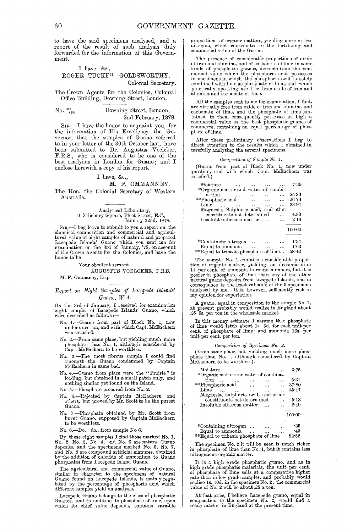to have the said specimens analysed, and a report of the result of such analysis duly forwarded for the information of this Government.

## I have, &c., ROGER TUCKFD. GOLDSWORTHY, Colonial Secretary.

The Crown Agents for the Colonies, Colonial Office Building, Downing Street, London.

## No. 8°/70. Downing Street, London, 2nd February, 18'78.

SIR,—I have the honor to acquaint you, for the information of His Excellency the Governor, that the samples of Guano referred to in your letter of the 30th October last, have been submitted to Dr. Augustus Voelcker, F.R.S., who is considered to be one of the best analyists in London for Guano; and I enclose herewith a copy of his report.

## I have, &c.,

#### M. F. OMMANNEY.

The Hon. the Colonial Secretary of Western Australia.

Analytical Laboratory,<br>11 Salisbury Square, Fleet Street, E.C.,<br>January 22nd, 1878.

SIR,-I beg leave to submit to you a report on the chemical composition and commercial and agricultural value of eight samples of natural and prepared Lacepede Islands' Guano which you sent me for examination on the 3rd of January, '7S, on account of the Crown Agents for the Colonies, and have the honor to'be

#### Your obedient servant,

#### AUGUSTUS VOELCKER, F.R.S.

M. F. Ommaney, Esq.

## *Rep01·t on Eight Samples of Lacepede Islands'*  Guano, W.A.

ON the 3rd of January, I received for examination eight samples of Lacepede Islands' Guano, which were described as follows :-

- No. I.-Guano from part of Block No. 1, now under question, and with which Capt. McEachern was satisfied.
- No. 2.—From same place, but yielding much more phosphate than No. 1, although considered by Capt. McEachern to be worthless.
- No. 3.-The most fibrous sample I could find amongst the Guano condemned by Captain McEachern in same bed.
- No.4.-Guano from place were the "Prairie" is loading, but obtained in a small patch only, and nothing similar yet found on the Island.

No. 5.-Phosphate procured from No. 2.

- No. 6.-Rejected by Captain McEachern and others, but proved by Mr. Scott to be the purest Guano.
- No. 7.-Phosphate obtained by Mr. Scott from burnt Guano, supposed by Captain McEachern to be worthless.

No. S.-Do. do., from sample No 6.

By these eight samples I find those marked No. 1, No. 2, No. 3, No. 4, and No. 6 are natural Guano deposits, and the specimens marked No. 5, No. 7, and No. 8 are compound artificial manures, obtained by the addition of chl

The agricultural and commercial value of Guano, similar in character to the specimens of natural Guano found on Lacepede Islands, is mainly regu-lated by the percentage of phosphoric acid which different samples yield on analysis.

Lacepede Guano belongs to the class of phosphatic Guanos, and in addition to phosphate of lime, upon which its chief value depends, contains variable

proportions of organic matters, yielding more or less nitrogen, which contributes to the fertilizing and commercial value of the Guano.

The presence of considerable proportions of oxide of iron and alumina, and of carbonate of lime in some kinds of phosphatic guanos, detracts from the com-mercial value which the phosphoric acid possesses in specimens in which the phosphoric acid is solely combined with lime as phosphate of lime, and which practically speaking are free from oxide of iron and alumina and carbonate of lime.

All the samples sent to me for examination, I find, are virtually free from oxide of iron and alumina and carbonate of lime, and the phosphate of lime contained in them consequently possesses as high a commercial value as the best phosphatic guanos of commerce, containing an equal percentage of phosphate of lime. '

After these preliminary observations I beg to direct attention to the results which I obtained in carefully analysing the several specimens,

#### *Oomposition of Sa'mple No. 1.*

(Guano from part of Block No. 1, now nnder qnestion, and with which Capt. McEachern was question,<br>satisfied.)

| Moisture                              |          |        |  | 7.39   |  |
|---------------------------------------|----------|--------|--|--------|--|
| *Organic matter and water of combi-   |          |        |  |        |  |
| nation                                | المنتقلة |        |  | 25:36  |  |
| **Phosphoric acid                     |          |        |  | 26.76  |  |
| Lime<br>$\sim$                        | $\cdots$ |        |  | 33.94  |  |
| Magnesia, Sulphuric acid, and other   |          |        |  |        |  |
| constituents not determined           |          |        |  | 4.39   |  |
| Insoluble siliceous matter            |          |        |  | 2.16   |  |
|                                       |          |        |  |        |  |
|                                       |          |        |  | 100:00 |  |
|                                       |          |        |  |        |  |
| *Containing nitrogen                  |          |        |  | 1.34   |  |
| Equal to ammonia                      |          | $\sim$ |  | 1.63   |  |
| **Equal to tribasic phosphate of lime |          |        |  | 58.42  |  |
|                                       |          |        |  |        |  |

The sample No. 1 contains a considerable proportion of organic matter, yielding on decomposition  $1\frac{1}{2}$  per cent. of ammonia in round numbers, but it is poorer in phosphate of lime than any of the other natural guano deposits from Lacepede Islands, and in consequence is the least valuable of the 5 specimens analysed by me. It is, however, sufficiently rich in my opinion for exportation.

A guano, equal in composition to the sample No. 1, at present probably would realize in England about .£5 5s. per ton in the wholesale market.

In this money estimate I assnme that phosphate of lime would fetch about Is. 5d. for each unit per cent. of phosphate of lime; and ammonia 16s. per nnit per cent. per ton.

#### *Oomposition of Specimen No. 2.*

(From same place, but yielding much more phoshate than No. 1, although considered by Captain McEachern to be worthless).

| Moisture                              |  | 3.75   |
|---------------------------------------|--|--------|
| *Organic matter and water of combina- |  |        |
| tion                                  |  | 5.31   |
| **Phosphoric acid                     |  | 37.80  |
| Lime                                  |  | 45.47  |
| Magnesia, sulphuric acid, and other   |  |        |
| constituents not determined           |  | 5.18   |
| Insoluble siliceous matter            |  | 2.49   |
|                                       |  | 100:00 |
|                                       |  |        |
|                                       |  | -35    |
| *Containing nitrogen                  |  |        |
| Equal to ammonia                      |  | $-43$  |

|  | tad agr to ammonta | $\cdots$                              |  | - - - - - |
|--|--------------------|---------------------------------------|--|-----------|
|  |                    | **Equal to tribasic phosphate of lime |  | 82.52     |

The specimen No. 2 it will be seen is much richer in phosphate of lime than No. 1, but it contains less nitrogenous organic matter.

It is a high grade phosphatic guano, and as in<br>high grade phosphatic materials, the unit per cent.<br>of phosphate of lime sells at a comparative higher<br>rate than in low grade samples, and probably would<br>realize 1s. 10d. in t value of No. 2 will be about £8 a ton.

At that price, I believe Lacepede guano, equal in composition to the specimen No. 2, would find a ready market in England at the present time.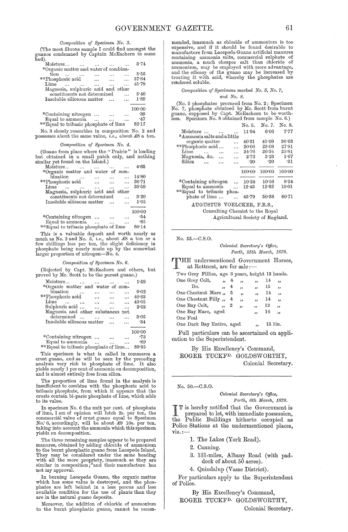*Oomposition of Specimen No. 3.* 

(The most fibrous sample I could find amongst the guanos condemned by Captain McEachern in same bed).

| Moisture                              |  | 3.74   |
|---------------------------------------|--|--------|
| *Organic matter and water of combina- |  |        |
| tion                                  |  | 5.55   |
| **Phosphoric acid                     |  | 37.64  |
| <b>Lime</b>                           |  | 45.78  |
| Magnesia, sulphuric acid and other    |  |        |
| constituents not determined           |  | 5.40   |
| Insoluble siliceous matter            |  | 1.89   |
|                                       |  |        |
|                                       |  | 100:00 |
| *Containing nitrogen                  |  | -39    |
| Equal to ammonia                      |  | -47    |
| **Equal to tribasic phosphate of lime |  | 82.17  |
|                                       |  |        |

No. 3 closely resembles in composition No. 2 and possesses about the same value, *i.e.*, about £8 a ton.

#### *Oomposition of Specimen No.* 4.

(Guano from place where the "Prairie" is loading but obtained in a small patch only, and nothing similar yet found on the Island.)

| Moisture                           |  | 4.65   |
|------------------------------------|--|--------|
| *Organic matter and water of com-  |  |        |
| bination                           |  | 14:80  |
| **Phosphoric acid                  |  | 36.71  |
| Lime                               |  | 39.59  |
| Magnesia, sulphuric acid and other |  |        |
| constituents not determined        |  | 3.20   |
| Insoluble siliceous matter         |  | 1:05   |
|                                    |  |        |
|                                    |  | 100:00 |
| *Containing nitrogen               |  | .54    |
| Equal to ammonia                   |  | -65    |
|                                    |  |        |

\*\*Equal to tribasic phosphate of lime 80'14 This is a valuable deposit and worth nearly as

much as No. 2 and No. 3, *i.e.*, about £8 a ton or a few shillings less per ton, the slight deficiency in phosphate being nearly made up by the somewhat larger proportion of nitrogen-No. 4.

## *Oomposition of Specimen No. 6.*

(Rejected by Capt. McEachern and others, but proved by Mr. Scott to be the purest guano.)

| Moisture<br>$\cdots$                                   | 1.59   |
|--------------------------------------------------------|--------|
| *Organic matter and water of com-                      |        |
| bination                                               | 9.02   |
| **Phosphoric acid                                      | 40.93  |
| $\lim_{m \to \infty}$<br>$\cdots$                      | 43.05  |
| Sulphuric acid<br>$\mathbf{r}$<br>$\cdots$<br>$\cdots$ | 2.02   |
| Magnesia and other substances not                      |        |
| determined                                             | 3.05   |
| Insoluble siliceous matter                             | .34    |
|                                                        |        |
|                                                        | 100:00 |
| *Containing nitrogen                                   | -73    |
| Equal to ammonia $\dots$ $\dots$                       | .89    |
| **Equal to tribasic phosphate of lime                  | 89.35  |
|                                                        |        |

This specimen is what is called in commerce a crust guano, and as will be seen by the preceding analysis very rich in phosphate of lime. It also yields nearly 1 per cent of ammonia on decomposition, and is almost entirely free from silica.

The proportion of lime found in the analysis is insufficient to combine with the phosphoric acid to tribasic phosphate, from which it appears that the crusts contain bi-paric phosphate of lime, which adds to its value.

In specimen No. 6 the unit per cent. of phosphate of lime, I am of opinion will fetch 2s. per ton, the commercial value of crust guano equal to Specimen No. 6, accordingly, will be about  $\hat{x}$ 9 10s. per ton, taking into account the ammonia which this specimen yields on decomposition.

'fhe three remaining samples appear to be prepared manures, obtained by adding chloride of ammonium to the burnt phosphatic guano from Lacepede Island. 'l'hey may be considered under the same heading with all the more propriety, inasmuch as they are similar in composition;\*and their manufacture has not my approval.

In burning Lacepede Guano, the organic matter which has some value is destroyed, and the phos-phates are left behind in a less porous and less available condition for the use of plants than they are in the natural guano deposits.

Moreover, the addition of chloride of ammonium to the burnt phosphatic guano, cannot be recommended, inasmuch as chloride of ammonium is too expensive, and if it should be found desirable to manufacture from Lacepede Guano artificial manures containing ammonia salts, commercial sulphate of ammonia, a much cheaper salt than chloride of ammonium, may be employed with more advantage, and the efficacy of the guano may be increased by treating it with acid, whereby the phosphates are rendered soluble.

#### *Oomposition of Specimens markecl No.* 5, *No. 7, and No. 8.*

(No. 5 phosphates procured from No. 2; Specimen No. 7, phosphate obtained by Mr. Scott from burnt guano, supposed by Capt. McEachern to be worth-<br>less. Specimen No. 8 obtained from sample No. 6.)

|                                               | No. 5.     | No. 7.     | No. 8. |
|-----------------------------------------------|------------|------------|--------|
| Moisture<br>$\overline{a}$                    | 11.94      | 6.06       | 7.77   |
| *Ammonia salts and a little                   |            |            |        |
| organic matter<br>لأعاد                       | 40.31      | 41.09      | 36.63  |
| **Phosphoric acid<br>.                        | 20:06      | 23.08      | 27.81  |
| Lime<br><b>Carlos</b><br>$\cdots$<br>$\cdots$ | 24.76      | 26.34      | 25.81  |
| Magnesia, &c.<br>$\cdots$                     | 2.73       | 3.23       | 1.67   |
| Silica<br>$\ddotsc$<br>                       | $\cdot$ 20 | $\cdot$ 20 | -31    |
|                                               |            |            |        |
|                                               | 100:00     | 100:00     | 100:00 |
|                                               |            |            |        |
| *Containing nitrogen<br>$\ddotsc$             | 10.24      | 10:56      | 8.24   |
| Equal to ammonia<br>$\ddotsc$                 | 12.43      | 12.82      | 10:01  |
| **Equal to tribasic phos-                     |            |            |        |
| phate of lime<br>$\ddotsc$                    | 43.79      | 50.38      | 60.71  |
| AUGUSTUS VOELCKER, F.R.S.,                    |            |            |        |

Consulting Chemist to the Royal

Agricultural Society of England.

#### No. 55.-C.S.O.

*Oolonial Secreta1'Y's QUice, Pm·th, 25th Ma1'ch, 1878.* 

THE undermentioned Government Horses, at Rottnest, are for sale:-

| Two Grey Fillies, age 3 years, height 13 hands. |                      |   |                          |                          |    |                          |
|-------------------------------------------------|----------------------|---|--------------------------|--------------------------|----|--------------------------|
| One Grey Colt,                                  | .,                   | 4 | , 1                      | $\overline{\phantom{a}}$ | 14 | $\overline{\phantom{a}}$ |
| Do.                                             | ,,                   | 4 | $\overline{\phantom{a}}$ | 55                       | 15 | 53                       |
| One Chestnut Mare,                              |                      | 5 | ,,                       | $\overline{\mathbf{z}}$  | 14 | $\cdot$                  |
| One Chestnut Filly,                             |                      | 4 | ,                        | $\overline{\phantom{a}}$ | 14 | , 1                      |
| One Bay Colt.                                   | $\ddot{\phantom{0}}$ | 2 | ,,                       | , 1                      | 12 | وو                       |
| One Bay Mare, aged                              |                      |   |                          | $\cdot$                  | 14 | ,,                       |
| One Foal                                        |                      |   |                          |                          |    |                          |
| One Dark Bay Entire, aged                       |                      |   |                          | $^{\rm{1}}$              |    | 15 1in.                  |
|                                                 |                      |   |                          |                          |    |                          |

Full particulars can be ascertained on application to the Superintendent.

By His Excellency's' Command, ROGER TUCKFD. GOLDSWORTHY, Colonial Secretary.

No. 50.-C.S.0.

## *Oolonial Sem'etary's Office, Perth, 8th Ma1'ch, 1878.*

I T is hereby notified that the Government is prepared to let, with immediate possession, the Public Buildings hitherto occupied as Police Stations at the undermentioned places,  $\overline{\text{viz}}$ .:-

- 1. The Lakes (York Road).
- 2. Canning.
- 3. 131-miles, Albany Road (with paddock of about 50 acres).

4. Quindalup (Vasse District).

For particulars apply to the Superintendent of Police.

By His Excellency's Command, ROGER TUCKFD. GOLDSWORTHY, Colonial Secretary.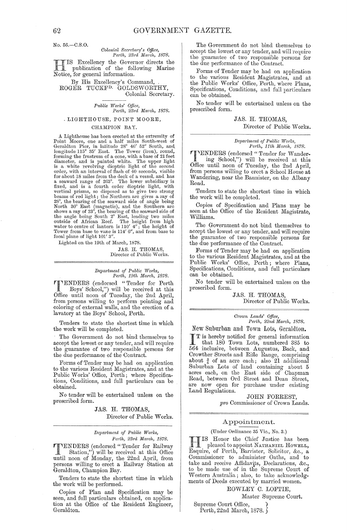No. 56.-C.S.0.

*Colonial Secretary's Office, Perth, 23rd March, 1878. Perth, 23nl Ma1'Ch, 1878.* 

HIS Excellency the Governor directs the<br>publication of the following Marine<br>Notice for conoral information publication of the following Marine Notice, for general information.

By His Excellency's Command, ROGER TUCKF<sup>D.</sup> GOLDSWORTHY, Colonial Secretary.

# *Pttblic WO?'ks' QUice, Perth, 23nl Ma?'Ch, 1878.*

, LIGHTHOUSE, POINT MOORE,

## CHAMPION BAY.

A Lighthouse has been erected at the extremity of Point Moore, one and a half miles South-west of Geraldton Pier, in latitude 28° 46' 52" South, and longitude 115° 35' East. The Tower (iron), round, forming the frustrum of a cone, with a base of 21 feet diameter, and is painted white. The upper light is a white revolving dioptric light of the second order, with an interval of flash of 40 seconds, visible for about 18 miles from the deck of a vessel, and has a seaward range of 2G3°. The lower subsidiary is fixed, and is a fourth order dioptrie light, with vertical prisms, so disposed as to give two strong<br>beams of red light; the Northern arc gives a ray of<br>28°, the bearing of the seaward side of angle being<br>North 30° East (magnetic), and the Southern arc<br>shows a ray of 23° outside of African Reef. The height from high water to centre of lantern is 110' 4"; the height of Tower from base to vane is 114' 6", and from base to focal plane of light 101' 3".

Lighted on the 19th of March, 1878.

JAS. H. THOMAS,<br>Director of Public Works.

*Department of Public Works, Perth, 19th March, 1878.* 

1"'ENDERS (endorsed "Tender for Perth Boys' School,") will be received at this Office until noon of Tuesday, the 2nd April, from persons willing to perform pointing and coloring of external walls, and the erection of a lavatory at the Boys' School, Perth.

Tenders to state the shortest time in which the work will be completed.

The Government do not bind themselves to accept the lowest or any tender, and will require the guarantee of two responsible persons for the due performance of the Contract.

Forms of Tender may be had on application to the various Resident Magistrates, and at the Public Works' Office, Perth; where Specifications, Conditions, and full particulars can be obtained.

No tender will be entertained unless on the prescribed form.

> JAS. H. THOMAS, Director of Public Works.

## $Department of Public Works,$ Perth, 23rd March, 1878.

**TENDERS** (endorsed "Tender for Railway<br>
Station,") will be received at this Office<br>
nutil near of Monday the 22nd April from until noon of Monday, the 22nd April, from persons willing to erect a Railway Station at Geraldton, Champion Bay.

Tenders to state the shortest time in which the work will be performed.

Copies of Plan and Specification may be seen, and full particulars obtained, on application at the Office of the Resident Engineer, Geraldton.

The Government do not bind themselves to accept the lowest or any tender, and will require the guarantee of two responsible persons for the due performance of the Contract.

Forms of Tender may be had on application to the various Resident Magistrates, and at the Public Works' Office, Perth, where Plans, Specifications, Conditions, and full particulars can be obtained.

No tender will be entertained unless on the prescribed form.

> JAS. H. THOMAS, Director of Public Works.

#### $Department of Public Works,$ *Perth, 11th March, 1878.*

TENDERS (endorsed "Tender for Wandering School,") will be received at this Office until noon of Tuesday, the 2nd April, from persons willing to erect a School House at Wandering, near the Bannister, on the Albany Road.

Tenders to state the shortest time in which the work will be completed.

Copies of Specification and Plans may be seen at the Office of the Resident Magistrate, Williams.

The Government do not bind themselves to accept the lowest or any tender, and will require the guarantee of two responsible persons for the due performance of the Contract.

Forms of Tender may be had on application to the various Resident Magistrates, and at the Public Works' Office, Perth; where Plans, Specifications, Conditions, and full particulars can be obtained.

No tender will be. entertained unless on the prescribed form.

> JAS. H. THOMAS, Director of Public Works.

#### *Cj'own Lands' Office, Perth, 22nd Ma1'ch, 1878.*

New Suburban and Town Lots, Geraldton.

T is hereby notified for general information<br>that 180 Town Lets that 180 Town Lots, numbered 385 to 564 inclusive, between Augustus, Bad:, and Crowther Streets and Rifle Range, comprising about  $\frac{3}{4}$  of an acre each; also 21 additional Suburban Lots of land containing about 5 acres each, on the East side of Chapman Road, between Ord Street and Dean Street, are now open for purchase under existing Land Regulations.

JOHN FORREST, *pro* Commissioner of Crown Lands.

## Appointment.

#### (Under Ordinance 35 Vie., No. 3.)

H IS Honor the Chief Justice has been<br>pleased to appoint NATHANIEL HOWELL, pleased to appoint NATHANIEL HowELL, Esquire, of Perth, Barrister, Solicitor, &c., a Commissioner to administer Oaths, and to take and receive Affidavits, Declarations, &c., to be made use of in the Supreme Court of vVestern Australia; also, to take acknowledgments of Deeds executed by married women.

ROWLEY C. LOFTIE,

Master Supreme Court.

Supreme Court Office, } Perth, 22nd March, 1878.  $\}$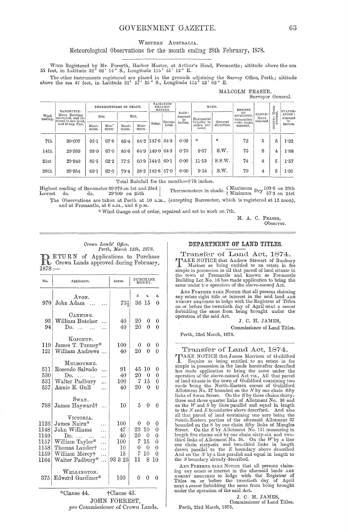## GOVERNMENT GAZETTE.

## WESTERN AUSTRALIA.

## Meteorological Observations for the month ending 28th February, 1878.

WIND Registered by Mr. Forsyth, Harbor Master, at Arthur's Head, Fremantle; altitude above the sea 55 feet, in Latitude 32° 02' 14" S., Longitude 115° 45' 12" E.

The other instruments registered are placed in the grounds adjoining the Survey Office, Perth; altitude above the sea 47 feet, in Latitude 31° 57' 25" S., Longitude 115° 52' 02" E.

|                  |                                                                      |                        |                           |                                 |               |                      |                   |         |                                         |                               |                           | who would move that someone if y<br>Surveyor General. |                        |         |
|------------------|----------------------------------------------------------------------|------------------------|---------------------------|---------------------------------|---------------|----------------------|-------------------|---------|-----------------------------------------|-------------------------------|---------------------------|-------------------------------------------------------|------------------------|---------|
| Week<br>ending.  | BAROMETER:<br>Mean Reading<br>corrected, and re-<br>and 32 deg. Fah. | THERMOMETERS IN SHADE. |                           | RADIATION<br>THERMO-<br>METERS. |               | WIND.                |                   | DEGREE  |                                         | Mean<br>mt.                   | EVAPOR-                   |                                                       |                        |         |
|                  |                                                                      |                        | Dry.                      |                                 | Wet.          |                      | Amount<br>Terres- |         | Horizontal<br>General<br>velocity in    | OF<br>HUMIDITY,<br>Saturation | CLOUD:<br>Mean<br>amount. | $\frac{1}{2}$                                         | ATION:<br>Amount<br>in |         |
|                  |                                                                      | Maxi-<br>mum.          | Mini <sup>-</sup><br>mum' | Maxi-<br>mum.                   | Mini-<br>mum. | Solar.               | trial.            | inches. | miles, per<br>hour.                     | direction.                    | =100 : mean<br>amount.    |                                                       |                        | inches. |
| 7th              | 30.007                                                               | 95.1                   | 67.8                      | $85 - 4$                        | 64.2          | 1476643              |                   | 0.09    | $\frac{M}{2N}$                          | 笨                             | 72                        | 5                                                     | 5                      | 1.92    |
| 14 <sub>th</sub> | 29.939                                                               | 93.0                   | 67.0                      | 85.6                            | 64.9          | $ 149 \cdot 0 $ 64 3 |                   | 0.70    | 9.67                                    | S.W.                          | 75                        | 8                                                     | 4                      | 1.88    |
| 21st             | 29.940                                                               | 85.5                   | 62.2                      | 77.5                            | 60.9          | $ 144.5 $ 60 1       |                   | 0.00    | 11.13                                   | S.S.W.                        | 74                        | 4                                                     | 5                      | 1.57    |
| 28th             | 29.954                                                               | 89.1                   | 62.0                      | 79.4                            | 58.2          | $142.8$ 57.0         |                   | 0.00    | 9.54                                    | S.W.                          | 70                        | 4                                                     | 5                      | 1.91    |
|                  |                                                                      |                        |                           |                                 |               |                      |                   |         | march of the first controlled that is a |                               |                           |                                                       |                        |         |

Total Rainfall for the month=0.79 inches.

Thermometers in shade.  $\left\{\n \begin{array}{c}\n \text{Maximum} & \text{Dry} \\ \text{Minimum} & \text{Dry} \end{array}\n \right.\n 57.3$  on 21st Highest reading of Barometer 30.079 on 1st and 23rd | do.  $Lowest$  do.  $29^\circ 809\>$  on  $25\rm{th}$ 

The Observations are taken at Perth at 10 a.m., (excepting Barometer, which is registered at 12 noon), and at Fremantle, at 6 a.m., and 6 p.m.

\* Wind Gauge out of order, repaired and set to work on 7th.

M. A. C. FRASER. Observer.

# Crown Lands' Office,<br>Perth, March 14th, 1878.

ETURN of Applications to Purchase BETURN OF Approaches and Tebruary,  $1878 -$ 

| No.   | Applicants.                     | Acres.        | PURCHASE<br>MONEY.          |          |                |
|-------|---------------------------------|---------------|-----------------------------|----------|----------------|
|       | Avon.                           |               | £                           | s.       | đ.             |
| 970   | John Adam                       | 73}           |                             | $36\,15$ | 0              |
|       | CANNING.                        |               |                             |          |                |
| 93    | William Butcher                 | 40            | 20                          | 0        | 0              |
| 94    | Do.                             | 40            | 20                          | 0        | $\theta$       |
|       | KOJONUP.                        |               |                             |          |                |
| 119   | James T. Tunney*                | 100           | 0                           | 0        | 0              |
| 121   | William Andrews                 | 40            | 20                          | 0        | $\theta$       |
|       | MELBOURNE.                      |               |                             |          |                |
| 511   | Rosendo Salvado                 | 91            |                             | 45 10    | 0              |
| 530   | Do.                             | 40            | $20^{\scriptscriptstyle +}$ | 0        | $\theta$       |
| 531   | Walter Padbury                  | $100\,$       |                             | 7.15     | $\overline{0}$ |
| 537.  | Annie E. Gull                   | 40            | 20                          | 0        | 0              |
|       | Swan.                           |               |                             |          |                |
| 788.  | James Hayward†                  | 10            | 5                           | 0        | 0              |
|       | VICTORIA.                       |               |                             |          |                |
| 1126. | James Nairn*                    | 100           | 0.                          | 0        | 0              |
| 1148  | John Williams                   | 47            | 23                          | 10       | 0              |
| 1149  | Do.<br>$\ddotsc$                | 40            | 20 -                        | 0        | $\theta$       |
| 1157  | William Taylor*<br>.            | 100           | 7                           | 15       | 0              |
| 1158  | Thomas Lander†<br>.             | 10            | 0                           | 0        | $\Omega$       |
| 1159  | William Mercy†                  | 15            | 7                           | 10       | 0              |
| 1164  | Walter Padbury*<br>$\ddotsc$    | 93325         | 11                          | 8        | 10             |
|       | WELLINGTON.                     |               |                             |          |                |
| 375   | Edward Gardiner*                | 100           | 0                           | 0        | 0              |
|       | *Clause 44.                     | †Clause 43.   |                             |          |                |
|       |                                 | JOHN FORREST. |                             |          |                |
|       | mo Commissioner of Crown Lands. |               |                             |          |                |
|       |                                 |               |                             |          |                |

## DEPARTMENT OF LAND TITLES.

MALCOLM FRASER.

Transfer of Land Act, 1874. TAKE NOTICE that Andrew Stewart of Bunbury<br>Mariner as being entitled to an estate in fee<br>simple in possession in all that parcel of land situate in<br>the town of Fremantle and known as Fremantle Building Lot No. 16 has made application to bring the same under the operation of the above-named Act.

AND FURTHER TAKE NOTICE that all persons claiming any estate right title or interest in the said land ARE HEREBY REQUIRED to lodge with the Registrar of Titles on or before the twentieth day of April next a caveat forbidding the same from being brought under the operation of the said Act.

J. C. H. JAMES.

Commissioner of Land Titles.

Perth, 23rd March, 1878.

Transfer of Land Act, 1874. VAKE NOTICE that James Morrison of Guildford **FINALE NOTICE that James Morrison of Guildford**<br> **E** Equire as being entitled to an estate in fee<br>
simple in possession in the lands hereinafter described<br>
has made application to bring the same under the<br>
operation of t three and three quarter links of Allotment No. 36 and<br>on the  $W$  and  $S$  by lines parallel and equal in length<br>to the  $N$  and  $E$  boundaries above described. And also to the N and E boundaries above described. And also<br>all that parcel of land containing one acre being the<br>South-Eastern portion of the aforesaid Allotment 37<br>bounded on the S by one chain fifty links of Mangles<br>Street. On

AND FURTHER TAKE NOTICE that all persons claiming any estate or interest in the aforesaid lands ARE<br>
HEREBY REQUIRED to lodge with the Registrar of<br>
Titles on or before the twentieth day of April next a *caveat* forbidding the same from being brought under the operation of the said Act.

J. C. H. JAMES,<br>Commissioner of Land Titles.

Perth, 23rd March, 1878.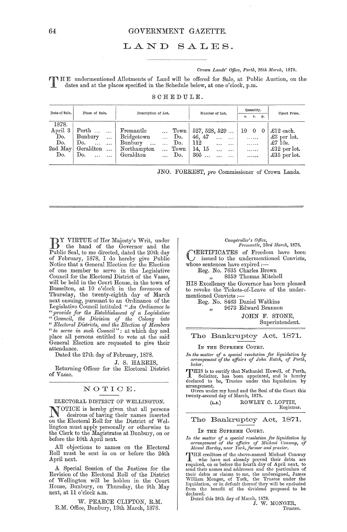## GOVERNMENT GAZETTE.

## LAND SALES.

## Crown Lands' Office, Perth, 26th March, 1878.

THE undermentioned Allotments of Land will be offered for Sale, at Public Auction, on the dates and at the places specified in the Schedule below, at one o'clock, p.m.

| Date of Sale.                                      | Place of Sale.                                                                                              | Description of Lot.                                                                                                                                                        | Number of Lot.                                                                                                | Quantity.<br>r.<br>p.<br>а.                   | Upset Price.                                                                                 |
|----------------------------------------------------|-------------------------------------------------------------------------------------------------------------|----------------------------------------------------------------------------------------------------------------------------------------------------------------------------|---------------------------------------------------------------------------------------------------------------|-----------------------------------------------|----------------------------------------------------------------------------------------------|
| 1878.<br>April 3<br>Do.<br>Do.<br>$2nd$ May<br>Do. | Perth<br>Bunbury<br>$\ddotsc$<br>Do.<br>$\cdots$<br>$\ddots$<br>Geraldton<br>$\sim 100$<br>Do.<br>$\ddotsc$ | Fremantle<br>Town  <br>$\ddotsc$<br>Bridgetown<br>Do.<br>$\sim 100$<br>Bunbury<br>Do.<br>.<br>$\cdots$<br>Northampton<br>Town<br>$\cdots$<br>Geraldton<br>Do.<br>$\ddotsc$ | 527, 528, 529<br>46, 47<br><br>$\cdots$<br>112<br><br>$\cdots$<br>14, 15<br>$\cdots$<br><br>$305$<br>$\cdots$ | 10<br>$\bf{0}$<br>$\theta$<br>.<br>.<br>.<br> | £12 each.<br>$\pounds3$ per lot.<br>$\pounds$ 7 10s.<br>$\pounds12$ per lot.<br>£15 per lot. |

|  | SCHEDULE. |  |  |  |
|--|-----------|--|--|--|
|  |           |  |  |  |

JNO. FORREST, pro Commissioner of Crown Lands.

DY VIRTUE of Her Majesty's Writ, under the hand of the Governor and the Public Seal, to me directed, dated the 20th day of February, 1878, I do hereby give Public<br>Notice that a General Election for the Election of one member to serve in the Legislative Council for the Electoral District of the Vasse, will be held in the Court House, in the town of Busselton, at 10 o'clock in the forenoon of Thursday, the twenty-eighth day of March next ensuing, pursuant to an Ordinance of the<br>Legislative Council intituled "An Ordinance to " provide for the Establishment of a Legislative<br>
"Council, the Division of the Colony into<br>
"Electoral Districts, and the Election of Members" " to serve in such Council": at which day and place all persons entitled to vote at the said General Election are requested to give their attendance.

Dated the 27th day of February, 1878.

## J. S. HARRIS.

Returning Officer for the Electoral District of Vasse.

## NOTICE.

ELECTORAL DISTRICT OF WELLINGTON.

OTICE is hereby given that all persons desirous of having their names inserted<br>on the Electoral Roll for the District of Wellington must apply personally or otherwise to the Clerk to the Magistrates at Bunbury, on or before the 10th April next.

All objections to names on the Electoral Roll must be sent in on or before the 24th April next.

A Special Session of the Justices for the Revision of the Electoral Roll of the District of Wellington will be holden in the Court House, Bunbury, on Thursday, the 9th May next, at 11 o'clock a.m.

W. PEARCE CLIFTON, R.M. R.M. Office, Bunbury, 13th March, 1878.

# Comptroller's Office,<br>Fremantle, 23rd March, 1878.

**IERTIFICATES** of Freedom have been  $J$  issued to the undermentioned Convicts, whose sentences have expired :-

Reg. No. 7635 Charles Brown

## 8359 Thomas Mitchell

HIS Excellency the Governor has been pleased to revoke the Tickets-of-Leave of the undermentioned Convicts:

Reg. No. 8463 Daniel Watkins 9673 Edward Brannon  $\overline{\mathbf{z}}$ 

JOHN F. STONE. Superintendent.

## The Bankruptcy Act, 1871.

## IN THE SUPREME COURT.

In the matter of a special resolution for liquidation by<br>arrangement of the affairs of John Eatch, of Perth, baker.

THIS is to certify that Nathaniel Howell, of Perth,<br>Solicitor, has been appointed, and is hereby<br>declared to be, Trustee under this liquidation by<br>arrangement,

Given under my hand and the Seal of the Court this twenty-second day of March, 1878.

ROWLEY C. LOFTIE, Registrar.

## The Bankruptcy Act, 1871.

IN THE SUPREME COURT.

 $(L.s.)$ 

In the matter of a special resolution for liquidation by<br>arrangement of the affairs of Michael Conway, of<br>Mount Hardey, near York, farmer and grazier.

THE creditors of the above-named Michael Conway THE creditors of the above-named Michael Conway<br>
I who have not already proved their debts are<br>
required, on or before the fourth day of April next, to<br>
required, on or before the fourth day of April next, to<br>
send their n declared.

clared.<br>Dated this 26th day of March, 1878.<br>J. W. MONGER,

Trustee.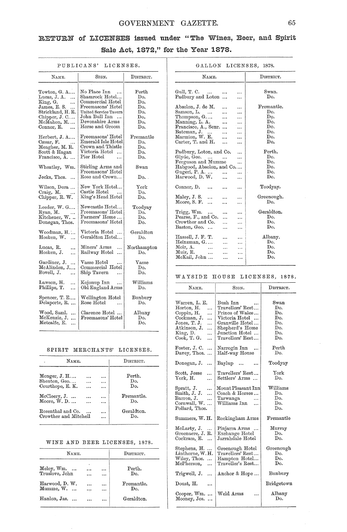## GOVERNMENT GAZETTE. 65

## RETURN of LICENSES issued under "The Wines, Beer, and Spirit Sale Act, 1872," for the Year 1878.

## PUBLICANS' LICENSES.

| NAME.                                                                                                                                              | SIGN.                                                                                                                                                                            | $_{\rm Disfricer.}$                                              |  |  |
|----------------------------------------------------------------------------------------------------------------------------------------------------|----------------------------------------------------------------------------------------------------------------------------------------------------------------------------------|------------------------------------------------------------------|--|--|
| Towton, G. A<br>Lucas, J. A.<br>King, G.<br>.<br>James, E. S.<br>.<br>Strickland, H. R.<br>Chipper, J. C<br>McMahon, M.<br>Connor, E.<br>$\ddotsc$ | No Place Inn<br>$\ddotsc$<br>Shamrock Hotel<br>Commercial Hotel<br>Freemasons' Hotel<br>United Service Tavern<br>John Bull Inn<br>$\cdots$<br>Devonshire Arms<br>Horse and Groom | $_{\rm{Perth}}$<br>Do.<br>Do.<br>Do.<br>Do.<br>Do.<br>Do.<br>Do. |  |  |
| Herbert, J. A<br>Cæsar, F.<br>$\sim$ $\sim$<br>Meagher, M. R.<br>Scott & Hagan<br>Francisco, A                                                     | Freemasons' Hotel<br>Emerald Isle Hotel<br>Crown and Thistle<br>Victoria Hotel<br>Pier Hotel                                                                                     | $\operatorname{Fremantle}$<br>Do.<br>Do.<br>Do.<br>Do.           |  |  |
| Wheatley, Wm.<br>Jecks, Thos.                                                                                                                      | Stirling Arms and<br>Freemasons' Hotel<br>Rose and Crown                                                                                                                         | $_{\rm{Swan}}$<br>Do. .                                          |  |  |
| Wilson, Dora<br>Craig, M.<br>$\sim$ $\sim$<br>Chipper, R. W.                                                                                       | New York Hotel<br>Castle Hotel<br>King's Head Hotel                                                                                                                              | ${\rm York}$<br>Do.<br>$\mathbf{D}\mathbf{o}$ .                  |  |  |
| Leeder, W. G<br>Ryan, M.<br>Kitchener, W.<br>Donegan, Thos.                                                                                        | Newcastle Hotel<br>Freemasons' Hotel<br>Farmers' Home<br>Freemasons' Hotel                                                                                                       | Toodyay<br>Do.<br>Do.<br>Do.                                     |  |  |
| Woodman, H<br>Hosken, W.<br>$\cdots$                                                                                                               | Victoria Hotel<br>$\cdots$<br>Geraldton Hotel                                                                                                                                    | Geraldton<br>Do.                                                 |  |  |
| Lucas, R.<br><br>Hosken, J.<br>.                                                                                                                   | Miners' Arms<br>.<br>Railway Hotel<br>.                                                                                                                                          | Northampton<br>Do.                                               |  |  |
| Gardiner, J.<br>.<br>McAlinden, J<br>Bovell, J.<br>                                                                                                | $\rm{Vasse~Hotel}$<br>Commercial Hotel<br>Ship Tavern                                                                                                                            | Vasse<br>Do.<br>Do.                                              |  |  |
| Lawson, H.<br><br>Phillips, T.<br>.                                                                                                                | Kojonup Inn<br>Old England Arms                                                                                                                                                  | Williams<br>Do.                                                  |  |  |
| Spencer, T. E<br>Delaporte, R.                                                                                                                     | Wellington Hotel<br>${\rm Rose\; Hotel}$                                                                                                                                         | Bunbury<br>Do.                                                   |  |  |
| Wood, Saml.<br>$\ddotsc$<br>McKenzie, J.<br>$\ddotsc$<br>Metcalfe, E.<br>                                                                          | Clarence Hotel<br>$\rm\,Freenasons' \,Hotel$                                                                                                                                     | Albany<br>Do.<br>Do.                                             |  |  |

## SPIRIT MERCHANTS' LICENSES.

| NAME.                 |           | DISTRICT.  |
|-----------------------|-----------|------------|
| Monger, J. H          | .         | Perth.     |
| Shenton, Geo          |           | Do.        |
| Courthope, E. K.      |           | Do.        |
| $McCleery, J.$        |           | Fremantle. |
| $M$ oore, $W.$ D.     |           | Do.        |
| Rosenthal and Co.     |           | Geraldton. |
| Crowther and Mitchell | $\ddotsc$ | Do.        |
|                       |           |            |

## WINE AND BEER LICENSES, 1878.

| NAME.              |           | DISTRICT. |            |
|--------------------|-----------|-----------|------------|
| $Melay, Wm. \dots$ | ٠         | $\cdots$  | Perth.     |
| Truslove, John     | $\cdots$  |           | Do.        |
| Harwood, D. W.     | $\ddotsc$ | $\ddotsc$ | Fremantle. |
| $M$ umme, $W$ .    |           | $\ddotsc$ | Do.        |
| Hanlon, Jas.       |           |           | Geraldton. |

| GALLON LICENSES,<br>1878.                                                                                                                      |                        |   |                                               |
|------------------------------------------------------------------------------------------------------------------------------------------------|------------------------|---|-----------------------------------------------|
| NAME.                                                                                                                                          |                        |   | DISTRICT.                                     |
| Gull, T. C.<br>$\cdots$<br>Padbury and Loton                                                                                                   | $\ddotsc$              |   | Swan.<br>Do.<br>Fremantle.                    |
| Absolon, J. de M.<br>Samson, L.<br>Thompson, G<br>Manning, L. A.<br>Francisco, A., Senr.<br>Bateman, J.<br>Marmion, W. E.<br>Carter, T. and H. | .                      |   | Do.<br>Do.<br>Do.<br>Do.<br>Do.<br>Do.<br>Do. |
| Padbury, Loton, and Co.<br>Glyde, Geo.<br>Ferguson and Mumme<br>Habgood, Absolon, and Co<br>Gugeri, P.A<br>Harwood, D. W.                      | $\ddotsc$<br>$\ddotsc$ |   | Perth.<br>Do.<br>Do.<br>Do.<br>Do.<br>Do.     |
| Connor, D.<br>Maley, J. S.<br>Moore, S. F.<br>$\ddotsc$                                                                                        |                        | . | Toodyay.<br>Greenough.<br>Do.                 |
| Trigg, Wm.<br>$\cdots$<br>Pearse, F., and Co.<br>Crowther and Co.<br>Baston, Geo.<br>$\ddot{\phantom{a}}$                                      | $\ddotsc$              |   | Geraldton.<br>Do.<br>Do.<br>Do.               |
| Hassell, J. F. T.<br>Heinzman, G.<br>Moir, A.<br>Muir. R.<br>$\ddotsc$<br>McKail, John                                                         |                        |   | Albany.<br>Do.<br>Do.<br>Do.<br>Do.           |

## WAYSIDE HOUSE LICENSES, 1878.

| NAME.                                                                                                                                                     | SIGN.                                                                                                                                         | DISTRICT.                                                       |
|-----------------------------------------------------------------------------------------------------------------------------------------------------------|-----------------------------------------------------------------------------------------------------------------------------------------------|-----------------------------------------------------------------|
| Warren, L. E.<br>Horton, H.<br>.<br>Coppin, H.<br>.<br>Cockman, J.<br>.<br>Jones, T. J.<br>.<br>$\Lambda$ tkinson, J.<br>King, D.<br>.<br>Cook, T. G.<br> | Bush Inn<br>Travellers' Rest<br>Prince of Wales<br>Victoria Hotel<br>Granville Hotel<br>Shepherd's Home<br>Junction Hotel<br>Travellers' Rest | $_{\rm{Swan}}$<br>Do.<br>Do.<br>Do.<br>Do.<br>Do.<br>Do.<br>Do. |
| Foster, J.C.<br>.<br>Davey, Thos.<br>                                                                                                                     | Narrogin Inn<br>Half-way House                                                                                                                | Perth<br>Do.                                                    |
| Donegan, J.<br>$\ddotsc$                                                                                                                                  | Baylup                                                                                                                                        | Toodyay                                                         |
| Scott, Jesse<br>$\ddotsc$<br>${\rm York},\, {\rm H}.$<br>$\ddotsc$                                                                                        | Travellers' Rest<br>Settlers' Arms                                                                                                            | $_{\rm York}$<br>Do.                                            |
| Spratt, J.<br><br>Smith, J. J.<br>$\ddotsc$<br>Barron, J.<br><br>Cornwall, W.<br>.<br>Pollard, Thos.                                                      | Mount Pleasant Inn<br>Coach & Horses<br>Tarwanga<br>$\ddotsc$<br>Williams Inn<br>                                                             | $\rm{Williams}$<br>Do.<br>Do.<br>Do.<br>Do.                     |
| Summers, W. H.                                                                                                                                            | Rockingham Arms                                                                                                                               | Fremantle                                                       |
| McLarty, J.<br>Greenacre, J.<br>К.<br>Cockram, E.<br>.                                                                                                    | Pinjarra Arms<br>Exchange Hotel<br>Jarrahdale Hotel                                                                                           | Murray<br>Do.<br>Do.                                            |
| Stephens, H.<br><br>$\rm{Linthorne, W.H.}$<br>Wiley, Thos.<br>McPherson,<br>                                                                              | Greenough Hotel<br>Travellers' Rest<br>Hampton Hotel<br>Traveller's Rest                                                                      | Greenough<br>Do.<br>Do.<br>Do.                                  |
| Trigwell, J.<br>.                                                                                                                                         | Anchor & Hope                                                                                                                                 | Bunbury                                                         |
| Doust, H.<br>                                                                                                                                             |                                                                                                                                               | ${\rm Bridg}$ etown                                             |
| Cooper, Wm.<br>$\ddotsc$<br>Mooney, Jos.<br>                                                                                                              | Weld Arms<br>                                                                                                                                 | Albany<br>Do.                                                   |